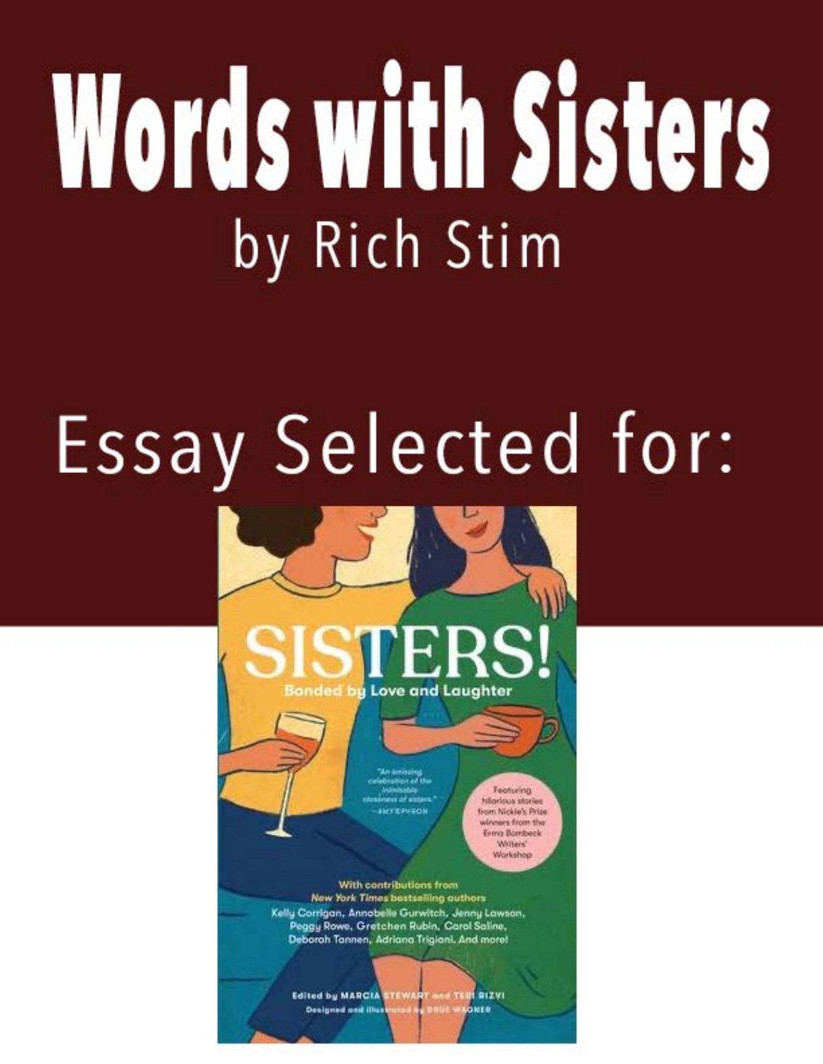## Words with Sisters by Rich Stim

## Essay Selected for:



Edited by MARCIA STEWART and TERE RIZVI **Designed and illu**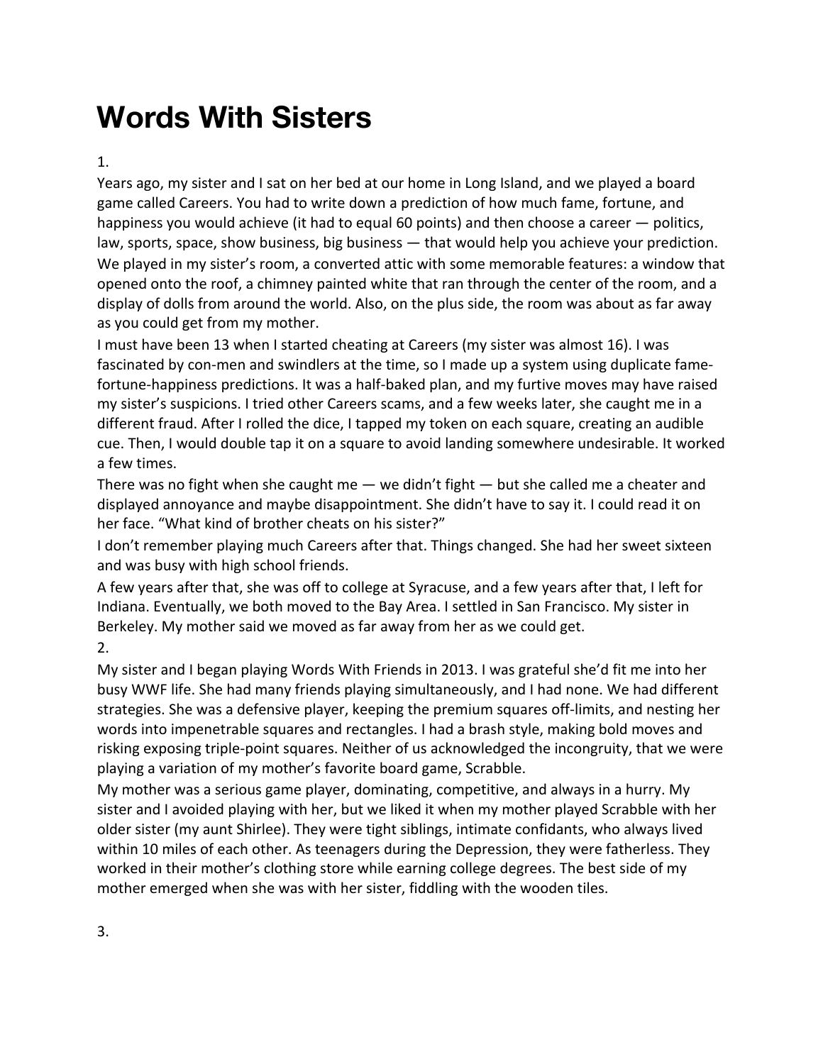## **Words With Sisters**

## 1.

Years ago, my sister and I sat on her bed at our home in Long Island, and we played a board game called Careers. You had to write down a prediction of how much fame, fortune, and happiness you would achieve (it had to equal 60 points) and then choose a career — politics, law, sports, space, show business, big business — that would help you achieve your prediction. We played in my sister's room, a converted attic with some memorable features: a window that opened onto the roof, a chimney painted white that ran through the center of the room, and a display of dolls from around the world. Also, on the plus side, the room was about as far away as you could get from my mother.

I must have been 13 when I started cheating at Careers (my sister was almost 16). I was fascinated by con-men and swindlers at the time, so I made up a system using duplicate famefortune-happiness predictions. It was a half-baked plan, and my furtive moves may have raised my sister's suspicions. I tried other Careers scams, and a few weeks later, she caught me in a different fraud. After I rolled the dice, I tapped my token on each square, creating an audible cue. Then, I would double tap it on a square to avoid landing somewhere undesirable. It worked a few times.

There was no fight when she caught me  $-$  we didn't fight  $-$  but she called me a cheater and displayed annoyance and maybe disappointment. She didn't have to say it. I could read it on her face. "What kind of brother cheats on his sister?"

I don't remember playing much Careers after that. Things changed. She had her sweet sixteen and was busy with high school friends.

A few years after that, she was off to college at Syracuse, and a few years after that, I left for Indiana. Eventually, we both moved to the Bay Area. I settled in San Francisco. My sister in Berkeley. My mother said we moved as far away from her as we could get.

2.

My sister and I began playing Words With Friends in 2013. I was grateful she'd fit me into her busy WWF life. She had many friends playing simultaneously, and I had none. We had different strategies. She was a defensive player, keeping the premium squares off-limits, and nesting her words into impenetrable squares and rectangles. I had a brash style, making bold moves and risking exposing triple-point squares. Neither of us acknowledged the incongruity, that we were playing a variation of my mother's favorite board game, Scrabble.

My mother was a serious game player, dominating, competitive, and always in a hurry. My sister and I avoided playing with her, but we liked it when my mother played Scrabble with her older sister (my aunt Shirlee). They were tight siblings, intimate confidants, who always lived within 10 miles of each other. As teenagers during the Depression, they were fatherless. They worked in their mother's clothing store while earning college degrees. The best side of my mother emerged when she was with her sister, fiddling with the wooden tiles.